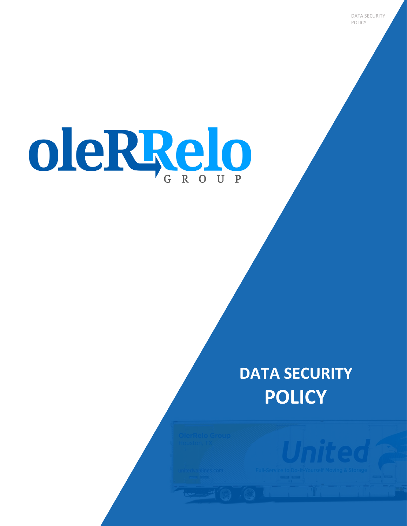oleRRelo

# **DATA SECURITY POLICY**

DATA SECURITY POLICY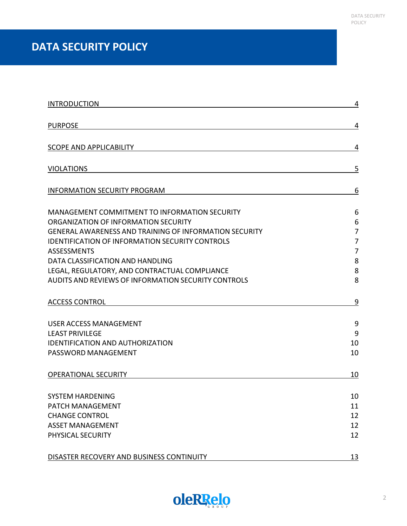## **DATA SECURITY POLICY**

| <b>INTRODUCTION</b>                                           | 4              |
|---------------------------------------------------------------|----------------|
| <b>PURPOSE</b>                                                | 4              |
|                                                               |                |
| <b>SCOPE AND APPLICABILITY</b>                                | 4              |
| <b>VIOLATIONS</b>                                             | 5              |
| <b>INFORMATION SECURITY PROGRAM</b>                           | 6              |
| MANAGEMENT COMMITMENT TO INFORMATION SECURITY                 | 6              |
| ORGANIZATION OF INFORMATION SECURITY                          | 6              |
| <b>GENERAL AWARENESS AND TRAINING OF INFORMATION SECURITY</b> | 7              |
| <b>IDENTIFICATION OF INFORMATION SECURITY CONTROLS</b>        | 7              |
| <b>ASSESSMENTS</b>                                            | $\overline{7}$ |
| DATA CLASSIFICATION AND HANDLING                              | 8              |
| LEGAL, REGULATORY, AND CONTRACTUAL COMPLIANCE                 | 8              |
| AUDITS AND REVIEWS OF INFORMATION SECURITY CONTROLS           | 8              |
| <b>ACCESS CONTROL</b>                                         | 9              |
| <b>USER ACCESS MANAGEMENT</b>                                 | 9              |
| <b>LEAST PRIVILEGE</b>                                        | 9              |
| <b>IDENTIFICATION AND AUTHORIZATION</b>                       | 10             |
| PASSWORD MANAGEMENT                                           | 10             |
| <b>OPERATIONAL SECURITY</b>                                   | 10             |
| <b>SYSTEM HARDENING</b>                                       | 10             |
| PATCH MANAGEMENT                                              | 11             |
| <b>CHANGE CONTROL</b>                                         | 12             |
| <b>ASSET MANAGEMENT</b>                                       | 12             |
| PHYSICAL SECURITY                                             | 12             |
| DISASTER RECOVERY AND BUSINESS CONTINUITY                     | 13             |

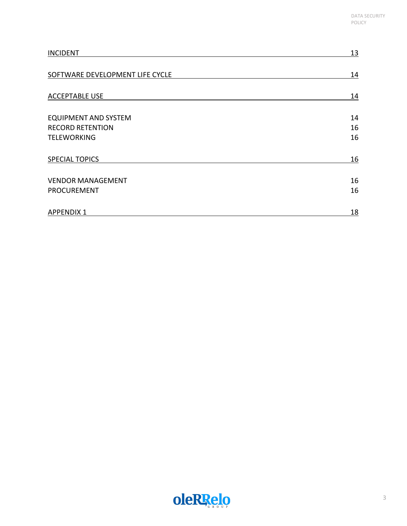| <b>INCIDENT</b>                 | 13 |
|---------------------------------|----|
| SOFTWARE DEVELOPMENT LIFE CYCLE | 14 |
| <b>ACCEPTABLE USE</b>           | 14 |
| <b>EQUIPMENT AND SYSTEM</b>     | 14 |
| <b>RECORD RETENTION</b>         | 16 |
| <b>TELEWORKING</b>              | 16 |
| <b>SPECIAL TOPICS</b>           | 16 |
| <b>VENDOR MANAGEMENT</b>        | 16 |
| <b>PROCUREMENT</b>              | 16 |
| <b>APPENDIX 1</b>               | 18 |

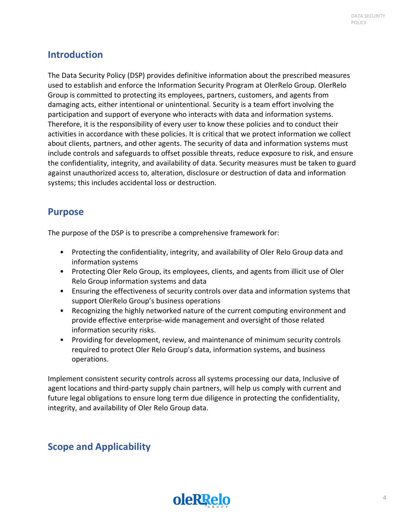### <span id="page-3-0"></span>**Introduction**

The Data Security Policy (DSP) provides definitive information about the prescribed measures used to establish and enforce the Information Security Program at OlerRelo Group. OlerRelo Group is committed to protecting its employees, partners, customers, and agents from damaging acts, either intentional or unintentional. Security is a team effort involving the participation and support of everyone who interacts with data and information systems. Therefore, it is the responsibility of every user to know these policies and to conduct their activities in accordance with these policies. It is critical that we protect information we collect about clients, partners, and other agents. The security of data and information systems must include controls and safeguards to offset possible threats, reduce exposure to risk, and ensure the confidentiality, integrity, and availability of data. Security measures must be taken to guard against unauthorized access to, alteration, disclosure or destruction of data and information systems; this includes accidental loss or destruction.

### <span id="page-3-1"></span>**Purpose**

The purpose of the DSP is to prescribe a comprehensive framework for:

- Protecting the confidentiality, integrity, and availability of Oler Relo Group data and information systems
- Protecting Oler Relo Group, its employees, clients, and agents from illicit use of Oler Relo Group information systems and data
- Ensuring the effectiveness of security controls over data and information systems that support OlerRelo Group's business operations
- Recognizing the highly networked nature of the current computing environment and provide effective enterprise-wide management and oversight of those related information security risks.
- Providing for development, review, and maintenance of minimum security controls required to protect Oler Relo Group's data, information systems, and business operations.

Implement consistent security controls across all systems processing our data, Inclusive of agent locations and third-party supply chain partners, will help us comply with current and future legal obligations to ensure long term due diligence in protecting the confidentiality, integrity, and availability of Oler Relo Group data.

### <span id="page-3-2"></span>**Scope and Applicability**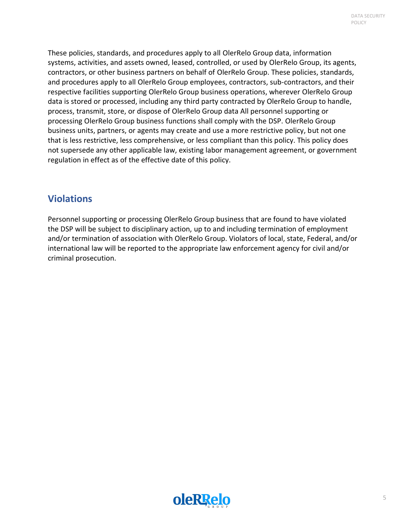These policies, standards, and procedures apply to all OlerRelo Group data, information systems, activities, and assets owned, leased, controlled, or used by OlerRelo Group, its agents, contractors, or other business partners on behalf of OlerRelo Group. These policies, standards, and procedures apply to all OlerRelo Group employees, contractors, sub-contractors, and their respective facilities supporting OlerRelo Group business operations, wherever OlerRelo Group data is stored or processed, including any third party contracted by OlerRelo Group to handle, process, transmit, store, or dispose of OlerRelo Group data All personnel supporting or processing OlerRelo Group business functions shall comply with the DSP. OlerRelo Group business units, partners, or agents may create and use a more restrictive policy, but not one that is less restrictive, less comprehensive, or less compliant than this policy. This policy does not supersede any other applicable law, existing labor management agreement, or government regulation in effect as of the effective date of this policy.

### <span id="page-4-0"></span>**Violations**

Personnel supporting or processing OlerRelo Group business that are found to have violated the DSP will be subject to disciplinary action, up to and including termination of employment and/or termination of association with OlerRelo Group. Violators of local, state, Federal, and/or international law will be reported to the appropriate law enforcement agency for civil and/or criminal prosecution.

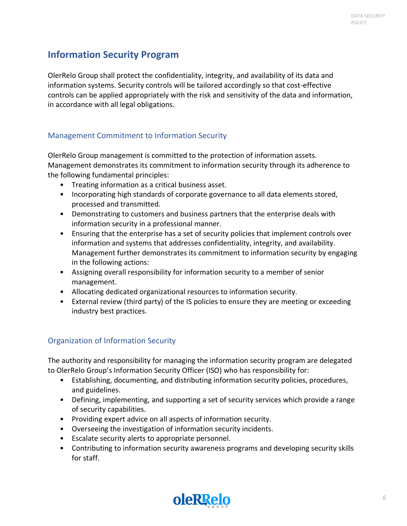### <span id="page-5-0"></span>**Information Security Program**

OlerRelo Group shall protect the confidentiality, integrity, and availability of its data and information systems. Security controls will be tailored accordingly so that cost-effective controls can be applied appropriately with the risk and sensitivity of the data and information, in accordance with all legal obligations.

### <span id="page-5-1"></span>Management Commitment to Information Security

OlerRelo Group management is committed to the protection of information assets. Management demonstrates its commitment to information security through its adherence to the following fundamental principles:

- Treating information as a critical business asset.
- Incorporating high standards of corporate governance to all data elements stored, processed and transmitted.
- Demonstrating to customers and business partners that the enterprise deals with information security in a professional manner.
- Ensuring that the enterprise has a set of security policies that implement controls over information and systems that addresses confidentiality, integrity, and availability. Management further demonstrates its commitment to information security by engaging in the following actions:
- Assigning overall responsibility for information security to a member of senior management.
- Allocating dedicated organizational resources to information security.
- External review (third party) of the IS policies to ensure they are meeting or exceeding industry best practices.

#### <span id="page-5-2"></span>Organization of Information Security

The authority and responsibility for managing the information security program are delegated to OlerRelo Group's Information Security Officer (ISO) who has responsibility for:

- Establishing, documenting, and distributing information security policies, procedures, and guidelines.
- Defining, implementing, and supporting a set of security services which provide a range of security capabilities.
- Providing expert advice on all aspects of information security.
- Overseeing the investigation of information security incidents.
- Escalate security alerts to appropriate personnel.
- Contributing to information security awareness programs and developing security skills for staff.

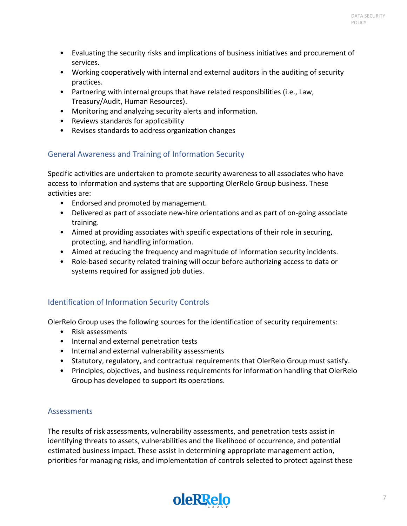- Evaluating the security risks and implications of business initiatives and procurement of services.
- Working cooperatively with internal and external auditors in the auditing of security practices.
- Partnering with internal groups that have related responsibilities (i.e., Law, Treasury/Audit, Human Resources).
- Monitoring and analyzing security alerts and information.
- Reviews standards for applicability
- Revises standards to address organization changes

### <span id="page-6-0"></span>General Awareness and Training of Information Security

Specific activities are undertaken to promote security awareness to all associates who have access to information and systems that are supporting OlerRelo Group business. These activities are:

- Endorsed and promoted by management.
- Delivered as part of associate new-hire orientations and as part of on-going associate training.
- Aimed at providing associates with specific expectations of their role in securing, protecting, and handling information.
- Aimed at reducing the frequency and magnitude of information security incidents.
- Role-based security related training will occur before authorizing access to data or systems required for assigned job duties.

### <span id="page-6-1"></span>Identification of Information Security Controls

OlerRelo Group uses the following sources for the identification of security requirements:

- Risk assessments
- Internal and external penetration tests
- Internal and external vulnerability assessments
- Statutory, regulatory, and contractual requirements that OlerRelo Group must satisfy.
- Principles, objectives, and business requirements for information handling that OlerRelo Group has developed to support its operations.

#### <span id="page-6-2"></span>**Assessments**

The results of risk assessments, vulnerability assessments, and penetration tests assist in identifying threats to assets, vulnerabilities and the likelihood of occurrence, and potential estimated business impact. These assist in determining appropriate management action, priorities for managing risks, and implementation of controls selected to protect against these

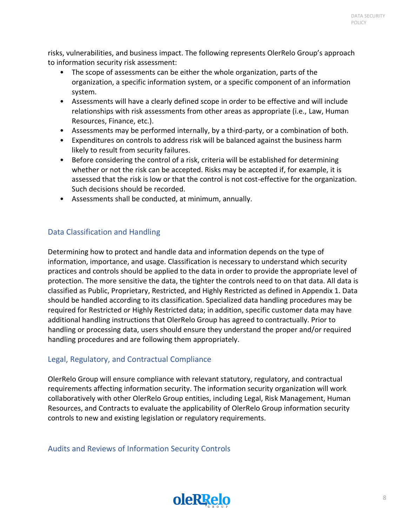risks, vulnerabilities, and business impact. The following represents OlerRelo Group's approach to information security risk assessment:

- The scope of assessments can be either the whole organization, parts of the organization, a specific information system, or a specific component of an information system.
- Assessments will have a clearly defined scope in order to be effective and will include relationships with risk assessments from other areas as appropriate (i.e., Law, Human Resources, Finance, etc.).
- Assessments may be performed internally, by a third-party, or a combination of both.
- Expenditures on controls to address risk will be balanced against the business harm likely to result from security failures.
- Before considering the control of a risk, criteria will be established for determining whether or not the risk can be accepted. Risks may be accepted if, for example, it is assessed that the risk is low or that the control is not cost-effective for the organization. Such decisions should be recorded.
- Assessments shall be conducted, at minimum, annually.

### <span id="page-7-0"></span>Data Classification and Handling

Determining how to protect and handle data and information depends on the type of information, importance, and usage. Classification is necessary to understand which security practices and controls should be applied to the data in order to provide the appropriate level of protection. The more sensitive the data, the tighter the controls need to on that data. All data is classified as Public, Proprietary, Restricted, and Highly Restricted as defined in Appendix 1. Data should be handled according to its classification. Specialized data handling procedures may be required for Restricted or Highly Restricted data; in addition, specific customer data may have additional handling instructions that OlerRelo Group has agreed to contractually. Prior to handling or processing data, users should ensure they understand the proper and/or required handling procedures and are following them appropriately.

### <span id="page-7-1"></span>Legal, Regulatory, and Contractual Compliance

OlerRelo Group will ensure compliance with relevant statutory, regulatory, and contractual requirements affecting information security. The information security organization will work collaboratively with other OlerRelo Group entities, including Legal, Risk Management, Human Resources, and Contracts to evaluate the applicability of OlerRelo Group information security controls to new and existing legislation or regulatory requirements.

<span id="page-7-2"></span>Audits and Reviews of Information Security Controls

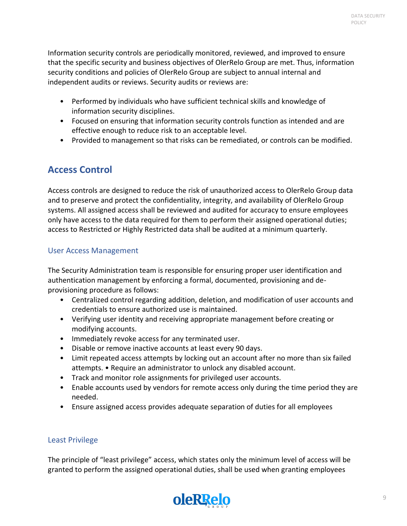Information security controls are periodically monitored, reviewed, and improved to ensure that the specific security and business objectives of OlerRelo Group are met. Thus, information security conditions and policies of OlerRelo Group are subject to annual internal and independent audits or reviews. Security audits or reviews are:

- Performed by individuals who have sufficient technical skills and knowledge of information security disciplines.
- Focused on ensuring that information security controls function as intended and are effective enough to reduce risk to an acceptable level.
- Provided to management so that risks can be remediated, or controls can be modified.

### <span id="page-8-0"></span>**Access Control**

Access controls are designed to reduce the risk of unauthorized access to OlerRelo Group data and to preserve and protect the confidentiality, integrity, and availability of OlerRelo Group systems. All assigned access shall be reviewed and audited for accuracy to ensure employees only have access to the data required for them to perform their assigned operational duties; access to Restricted or Highly Restricted data shall be audited at a minimum quarterly.

#### <span id="page-8-1"></span>User Access Management

The Security Administration team is responsible for ensuring proper user identification and authentication management by enforcing a formal, documented, provisioning and deprovisioning procedure as follows:

- Centralized control regarding addition, deletion, and modification of user accounts and credentials to ensure authorized use is maintained.
- Verifying user identity and receiving appropriate management before creating or modifying accounts.
- Immediately revoke access for any terminated user.
- Disable or remove inactive accounts at least every 90 days.
- Limit repeated access attempts by locking out an account after no more than six failed attempts. • Require an administrator to unlock any disabled account.
- Track and monitor role assignments for privileged user accounts.
- Enable accounts used by vendors for remote access only during the time period they are needed.
- Ensure assigned access provides adequate separation of duties for all employees

### <span id="page-8-2"></span>Least Privilege

The principle of "least privilege" access, which states only the minimum level of access will be granted to perform the assigned operational duties, shall be used when granting employees

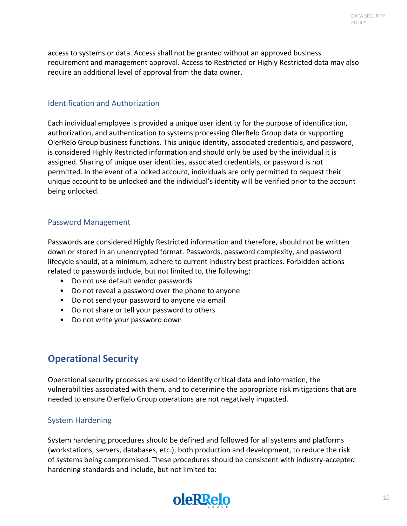access to systems or data. Access shall not be granted without an approved business requirement and management approval. Access to Restricted or Highly Restricted data may also require an additional level of approval from the data owner.

#### <span id="page-9-0"></span>Identification and Authorization

Each individual employee is provided a unique user identity for the purpose of identification, authorization, and authentication to systems processing OlerRelo Group data or supporting OlerRelo Group business functions. This unique identity, associated credentials, and password, is considered Highly Restricted information and should only be used by the individual it is assigned. Sharing of unique user identities, associated credentials, or password is not permitted. In the event of a locked account, individuals are only permitted to request their unique account to be unlocked and the individual's identity will be verified prior to the account being unlocked.

#### <span id="page-9-1"></span>Password Management

Passwords are considered Highly Restricted information and therefore, should not be written down or stored in an unencrypted format. Passwords, password complexity, and password lifecycle should, at a minimum, adhere to current industry best practices. Forbidden actions related to passwords include, but not limited to, the following:

- Do not use default vendor passwords
- Do not reveal a password over the phone to anyone
- Do not send your password to anyone via email
- Do not share or tell your password to others
- Do not write your password down

### <span id="page-9-2"></span>**Operational Security**

Operational security processes are used to identify critical data and information, the vulnerabilities associated with them, and to determine the appropriate risk mitigations that are needed to ensure OlerRelo Group operations are not negatively impacted.

#### <span id="page-9-3"></span>System Hardening

System hardening procedures should be defined and followed for all systems and platforms (workstations, servers, databases, etc.), both production and development, to reduce the risk of systems being compromised. These procedures should be consistent with industry-accepted hardening standards and include, but not limited to:

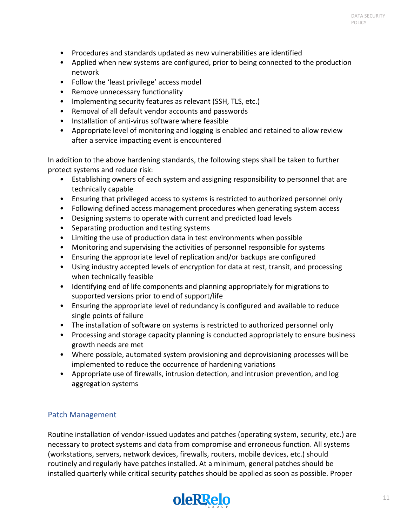- Procedures and standards updated as new vulnerabilities are identified
- Applied when new systems are configured, prior to being connected to the production network
- Follow the 'least privilege' access model
- Remove unnecessary functionality
- Implementing security features as relevant (SSH, TLS, etc.)
- Removal of all default vendor accounts and passwords
- Installation of anti-virus software where feasible
- Appropriate level of monitoring and logging is enabled and retained to allow review after a service impacting event is encountered

In addition to the above hardening standards, the following steps shall be taken to further protect systems and reduce risk:

- Establishing owners of each system and assigning responsibility to personnel that are technically capable
- Ensuring that privileged access to systems is restricted to authorized personnel only
- Following defined access management procedures when generating system access
- Designing systems to operate with current and predicted load levels
- Separating production and testing systems
- Limiting the use of production data in test environments when possible
- Monitoring and supervising the activities of personnel responsible for systems
- Ensuring the appropriate level of replication and/or backups are configured
- Using industry accepted levels of encryption for data at rest, transit, and processing when technically feasible
- Identifying end of life components and planning appropriately for migrations to supported versions prior to end of support/life
- Ensuring the appropriate level of redundancy is configured and available to reduce single points of failure
- The installation of software on systems is restricted to authorized personnel only
- Processing and storage capacity planning is conducted appropriately to ensure business growth needs are met
- Where possible, automated system provisioning and deprovisioning processes will be implemented to reduce the occurrence of hardening variations
- Appropriate use of firewalls, intrusion detection, and intrusion prevention, and log aggregation systems

#### <span id="page-10-0"></span>Patch Management

Routine installation of vendor-issued updates and patches (operating system, security, etc.) are necessary to protect systems and data from compromise and erroneous function. All systems (workstations, servers, network devices, firewalls, routers, mobile devices, etc.) should routinely and regularly have patches installed. At a minimum, general patches should be installed quarterly while critical security patches should be applied as soon as possible. Proper

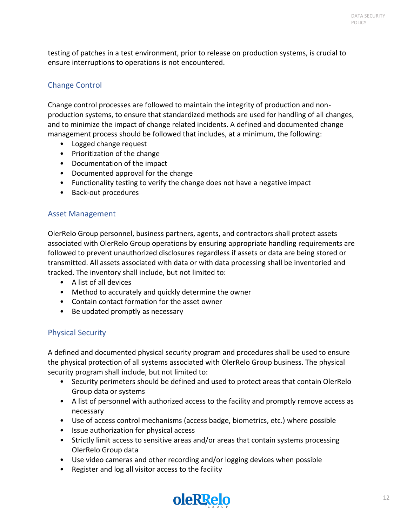testing of patches in a test environment, prior to release on production systems, is crucial to ensure interruptions to operations is not encountered.

### <span id="page-11-0"></span>Change Control

Change control processes are followed to maintain the integrity of production and nonproduction systems, to ensure that standardized methods are used for handling of all changes, and to minimize the impact of change related incidents. A defined and documented change management process should be followed that includes, at a minimum, the following:

- Logged change request
- Prioritization of the change
- Documentation of the impact
- Documented approval for the change
- Functionality testing to verify the change does not have a negative impact
- Back-out procedures

#### <span id="page-11-1"></span>Asset Management

OlerRelo Group personnel, business partners, agents, and contractors shall protect assets associated with OlerRelo Group operations by ensuring appropriate handling requirements are followed to prevent unauthorized disclosures regardless if assets or data are being stored or transmitted. All assets associated with data or with data processing shall be inventoried and tracked. The inventory shall include, but not limited to:

- A list of all devices
- Method to accurately and quickly determine the owner
- Contain contact formation for the asset owner
- Be updated promptly as necessary

#### <span id="page-11-2"></span>Physical Security

A defined and documented physical security program and procedures shall be used to ensure the physical protection of all systems associated with OlerRelo Group business. The physical security program shall include, but not limited to:

- Security perimeters should be defined and used to protect areas that contain OlerRelo Group data or systems
- A list of personnel with authorized access to the facility and promptly remove access as necessary
- Use of access control mechanisms (access badge, biometrics, etc.) where possible
- Issue authorization for physical access
- Strictly limit access to sensitive areas and/or areas that contain systems processing OlerRelo Group data
- Use video cameras and other recording and/or logging devices when possible
- Register and log all visitor access to the facility

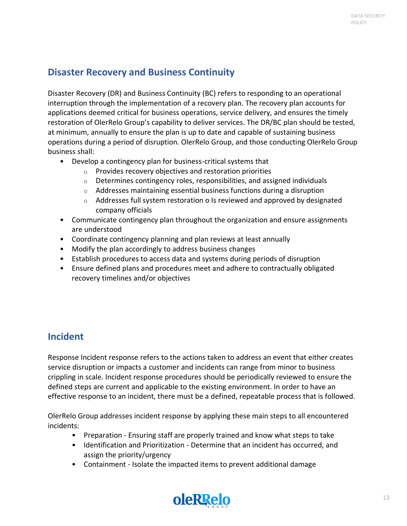### <span id="page-12-0"></span>**Disaster Recovery and Business Continuity**

Disaster Recovery (DR) and Business Continuity (BC) refers to responding to an operational interruption through the implementation of a recovery plan. The recovery plan accounts for applications deemed critical for business operations, service delivery, and ensures the timely restoration of OlerRelo Group's capability to deliver services. The DR/BC plan should be tested, at minimum, annually to ensure the plan is up to date and capable of sustaining business operations during a period of disruption. OlerRelo Group, and those conducting OlerRelo Group business shall:

- Develop a contingency plan for business-critical systems that
	- o Provides recovery objectives and restoration priorities
	- $\circ$  Determines contingency roles, responsibilities, and assigned individuals
	- o Addresses maintaining essential business functions during a disruption
	- $\circ$  Addresses full system restoration o Is reviewed and approved by designated company officials
- Communicate contingency plan throughout the organization and ensure assignments are understood
- Coordinate contingency planning and plan reviews at least annually
- Modify the plan accordingly to address business changes
- Establish procedures to access data and systems during periods of disruption
- Ensure defined plans and procedures meet and adhere to contractually obligated recovery timelines and/or objectives

### <span id="page-12-1"></span>**Incident**

Response Incident response refers to the actions taken to address an event that either creates service disruption or impacts a customer and incidents can range from minor to business crippling in scale. Incident response procedures should be periodically reviewed to ensure the defined steps are current and applicable to the existing environment. In order to have an effective response to an incident, there must be a defined, repeatable process that is followed.

OlerRelo Group addresses incident response by applying these main steps to all encountered incidents:

- Preparation Ensuring staff are properly trained and know what steps to take
- Identification and Prioritization Determine that an incident has occurred, and assign the priority/urgency
- Containment Isolate the impacted items to prevent additional damage

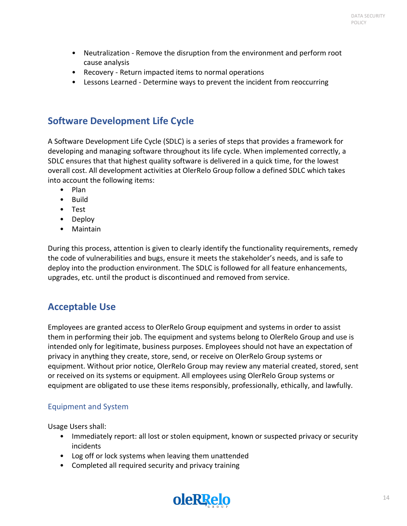- Neutralization Remove the disruption from the environment and perform root cause analysis
- Recovery Return impacted items to normal operations
- Lessons Learned Determine ways to prevent the incident from reoccurring

### <span id="page-13-0"></span>**Software Development Life Cycle**

A Software Development Life Cycle (SDLC) is a series of steps that provides a framework for developing and managing software throughout its life cycle. When implemented correctly, a SDLC ensures that that highest quality software is delivered in a quick time, for the lowest overall cost. All development activities at OlerRelo Group follow a defined SDLC which takes into account the following items:

- Plan
- Build
- Test
- Deploy
- Maintain

During this process, attention is given to clearly identify the functionality requirements, remedy the code of vulnerabilities and bugs, ensure it meets the stakeholder's needs, and is safe to deploy into the production environment. The SDLC is followed for all feature enhancements, upgrades, etc. until the product is discontinued and removed from service.

### <span id="page-13-1"></span>**Acceptable Use**

Employees are granted access to OlerRelo Group equipment and systems in order to assist them in performing their job. The equipment and systems belong to OlerRelo Group and use is intended only for legitimate, business purposes. Employees should not have an expectation of privacy in anything they create, store, send, or receive on OlerRelo Group systems or equipment. Without prior notice, OlerRelo Group may review any material created, stored, sent or received on its systems or equipment. All employees using OlerRelo Group systems or equipment are obligated to use these items responsibly, professionally, ethically, and lawfully.

### <span id="page-13-2"></span>Equipment and System

Usage Users shall:

- Immediately report: all lost or stolen equipment, known or suspected privacy or security incidents
- Log off or lock systems when leaving them unattended
- Completed all required security and privacy training

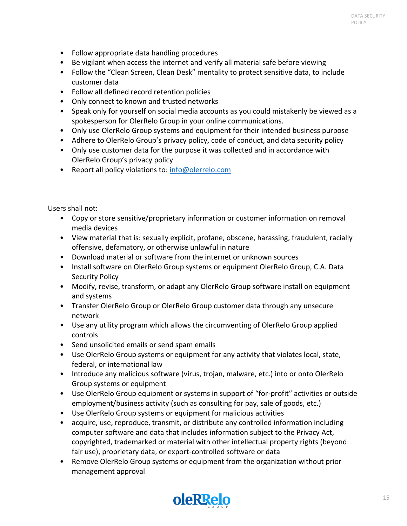- Follow appropriate data handling procedures
- Be vigilant when access the internet and verify all material safe before viewing
- Follow the "Clean Screen, Clean Desk" mentality to protect sensitive data, to include customer data
- Follow all defined record retention policies
- Only connect to known and trusted networks
- Speak only for yourself on social media accounts as you could mistakenly be viewed as a spokesperson for OlerRelo Group in your online communications.
- Only use OlerRelo Group systems and equipment for their intended business purpose
- Adhere to OlerRelo Group's privacy policy, code of conduct, and data security policy
- Only use customer data for the purpose it was collected and in accordance with OlerRelo Group's privacy policy
- Report all policy violations to: [info@olerrelo.com](mailto:info@olerrelo.com)

Users shall not:

- Copy or store sensitive/proprietary information or customer information on removal media devices
- View material that is: sexually explicit, profane, obscene, harassing, fraudulent, racially offensive, defamatory, or otherwise unlawful in nature
- Download material or software from the internet or unknown sources
- Install software on OlerRelo Group systems or equipment OlerRelo Group, C.A. Data Security Policy
- Modify, revise, transform, or adapt any OlerRelo Group software install on equipment and systems
- Transfer OlerRelo Group or OlerRelo Group customer data through any unsecure network
- Use any utility program which allows the circumventing of OlerRelo Group applied controls
- Send unsolicited emails or send spam emails
- Use OlerRelo Group systems or equipment for any activity that violates local, state, federal, or international law
- Introduce any malicious software (virus, trojan, malware, etc.) into or onto OlerRelo Group systems or equipment
- Use OlerRelo Group equipment or systems in support of "for-profit" activities or outside employment/business activity (such as consulting for pay, sale of goods, etc.)
- Use OlerRelo Group systems or equipment for malicious activities
- acquire, use, reproduce, transmit, or distribute any controlled information including computer software and data that includes information subject to the Privacy Act, copyrighted, trademarked or material with other intellectual property rights (beyond fair use), proprietary data, or export-controlled software or data
- Remove OlerRelo Group systems or equipment from the organization without prior management approval

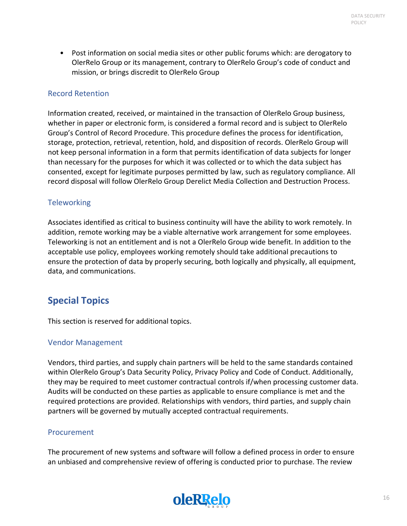• Post information on social media sites or other public forums which: are derogatory to OlerRelo Group or its management, contrary to OlerRelo Group's code of conduct and mission, or brings discredit to OlerRelo Group

#### <span id="page-15-0"></span>Record Retention

Information created, received, or maintained in the transaction of OlerRelo Group business, whether in paper or electronic form, is considered a formal record and is subject to OlerRelo Group's Control of Record Procedure. This procedure defines the process for identification, storage, protection, retrieval, retention, hold, and disposition of records. OlerRelo Group will not keep personal information in a form that permits identification of data subjects for longer than necessary for the purposes for which it was collected or to which the data subject has consented, except for legitimate purposes permitted by law, such as regulatory compliance. All record disposal will follow OlerRelo Group Derelict Media Collection and Destruction Process.

#### <span id="page-15-1"></span>**Teleworking**

Associates identified as critical to business continuity will have the ability to work remotely. In addition, remote working may be a viable alternative work arrangement for some employees. Teleworking is not an entitlement and is not a OlerRelo Group wide benefit. In addition to the acceptable use policy, employees working remotely should take additional precautions to ensure the protection of data by properly securing, both logically and physically, all equipment, data, and communications.

### <span id="page-15-2"></span>**Special Topics**

This section is reserved for additional topics.

#### <span id="page-15-3"></span>Vendor Management

Vendors, third parties, and supply chain partners will be held to the same standards contained within OlerRelo Group's Data Security Policy, Privacy Policy and Code of Conduct. Additionally, they may be required to meet customer contractual controls if/when processing customer data. Audits will be conducted on these parties as applicable to ensure compliance is met and the required protections are provided. Relationships with vendors, third parties, and supply chain partners will be governed by mutually accepted contractual requirements.

#### <span id="page-15-4"></span>Procurement

The procurement of new systems and software will follow a defined process in order to ensure an unbiased and comprehensive review of offering is conducted prior to purchase. The review

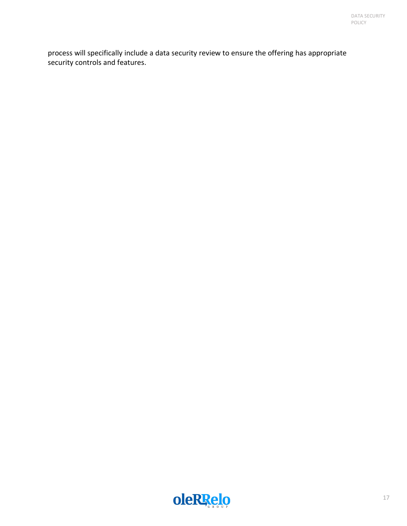process will specifically include a data security review to ensure the offering has appropriate security controls and features.